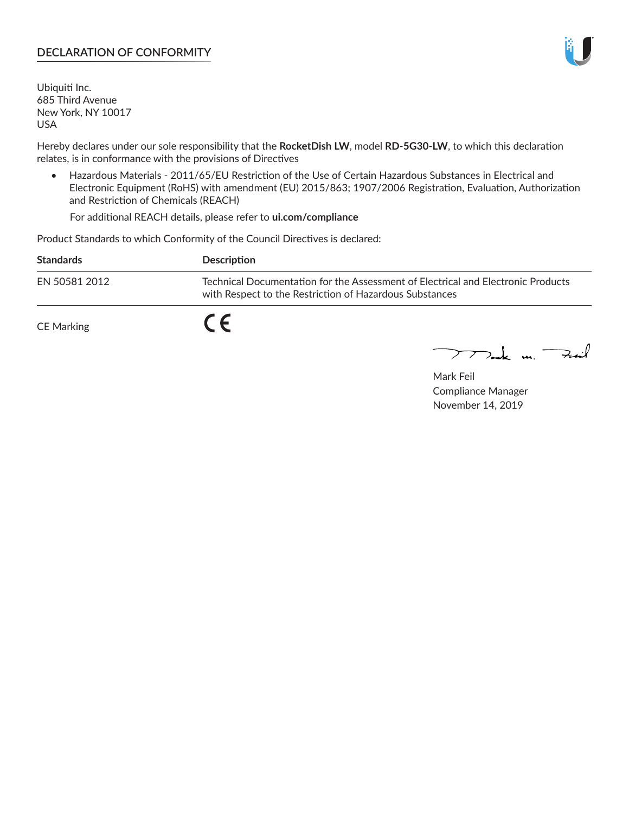#### **DECLARATION OF CONFORMITY**

Ubiquiti Inc. 685 Third Avenue New York, NY 10017 USA

Hereby declares under our sole responsibility that the **RocketDish LW**, model **RD-5G30-LW**, to which this declaration relates, is in conformance with the provisions of Directives

• Hazardous Materials - 2011/65/EU Restriction of the Use of Certain Hazardous Substances in Electrical and Electronic Equipment (RoHS) with amendment (EU) 2015/863; 1907/2006 Registration, Evaluation, Authorization and Restriction of Chemicals (REACH)

For additional REACH details, please refer to **ui.com/compliance**

Product Standards to which Conformity of the Council Directives is declared:

| <b>Standards</b> | <b>Description</b>                                                                                                                          |
|------------------|---------------------------------------------------------------------------------------------------------------------------------------------|
| EN 50581 2012    | Technical Documentation for the Assessment of Electrical and Electronic Products<br>with Respect to the Restriction of Hazardous Substances |
| CE Marking       |                                                                                                                                             |

 $\sum_{n=1}^{\infty}$  un  $\sum_{n=1}^{\infty}$ 

Mark Feil Compliance Manager November 14, 2019

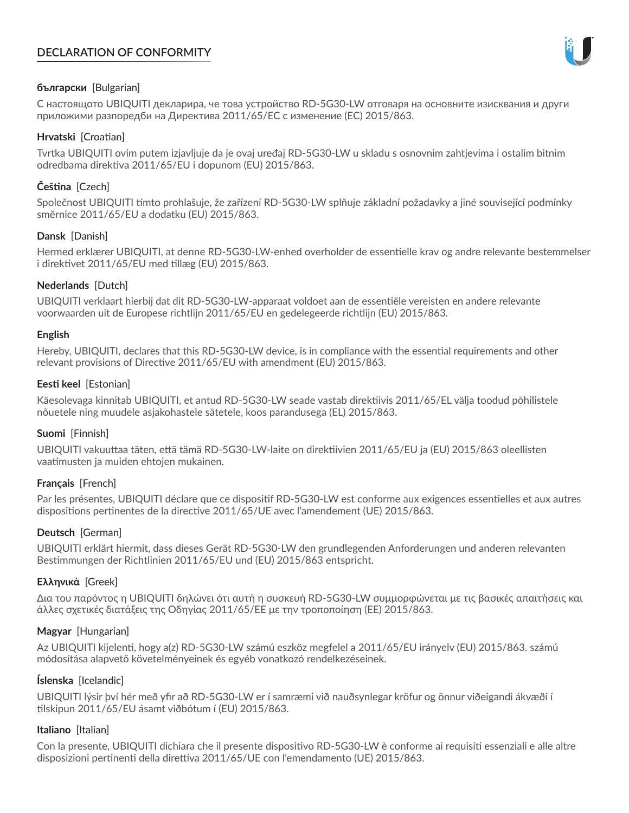# **DECLARATION OF CONFORMITY**



# **български** [Bulgarian]

С настоящото UBIQUITI декларира, че това устройство RD-5G30-LW отговаря на основните изисквания и други приложими разпоредби на Директива 2011/65/ЕС с изменение (ЕС) 2015/863.

# **Hrvatski** [Croatian]

Tvrtka UBIQUITI ovim putem izjavljuje da je ovaj uređaj RD-5G30-LW u skladu s osnovnim zahtjevima i ostalim bitnim odredbama direktiva 2011/65/EU i dopunom (EU) 2015/863.

# **Čeština** [Czech]

Společnost UBIQUITI tímto prohlašuje, že zařízení RD-5G30-LW splňuje základní požadavky a jiné související podmínky směrnice 2011/65/EU a dodatku (EU) 2015/863.

# **Dansk** [Danish]

Hermed erklærer UBIQUITI, at denne RD-5G30-LW-enhed overholder de essentielle krav og andre relevante bestemmelser i direktivet 2011/65/EU med tillæg (EU) 2015/863.

# **Nederlands** [Dutch]

UBIQUITI verklaart hierbij dat dit RD-5G30-LW-apparaat voldoet aan de essentiële vereisten en andere relevante voorwaarden uit de Europese richtlijn 2011/65/EU en gedelegeerde richtlijn (EU) 2015/863.

#### **English**

Hereby, UBIQUITI, declares that this RD-5G30-LW device, is in compliance with the essential requirements and other relevant provisions of Directive 2011/65/EU with amendment (EU) 2015/863.

# **Eesti keel** [Estonian]

Käesolevaga kinnitab UBIQUITI, et antud RD-5G30-LW seade vastab direktiivis 2011/65/EL välja toodud põhilistele nõuetele ning muudele asjakohastele sätetele, koos parandusega (EL) 2015/863.

# **Suomi** [Finnish]

UBIQUITI vakuuttaa täten, että tämä RD-5G30-LW-laite on direktiivien 2011/65/EU ja (EU) 2015/863 oleellisten vaatimusten ja muiden ehtojen mukainen.

# **Français** [French]

Par les présentes, UBIQUITI déclare que ce dispositif RD-5G30-LW est conforme aux exigences essentielles et aux autres dispositions pertinentes de la directive 2011/65/UE avec l'amendement (UE) 2015/863.

# **Deutsch** [German]

UBIQUITI erklärt hiermit, dass dieses Gerät RD-5G30-LW den grundlegenden Anforderungen und anderen relevanten Bestimmungen der Richtlinien 2011/65/EU und (EU) 2015/863 entspricht.

# **Ελληνικά** [Greek]

Δια του παρόντος η UBIQUITI δηλώνει ότι αυτή η συσκευή RD-5G30-LW συμμορφώνεται με τις βασικές απαιτήσεις και άλλες σχετικές διατάξεις της Οδηγίας 2011/65/ΕΕ με την τροποποίηση (ΕΕ) 2015/863.

# **Magyar** [Hungarian]

Az UBIQUITI kijelenti, hogy a(z) RD-5G30-LW számú eszköz megfelel a 2011/65/EU irányelv (EU) 2015/863. számú módosítása alapvető követelményeinek és egyéb vonatkozó rendelkezéseinek.

# **Íslenska** [Icelandic]

UBIQUITI lýsir því hér með yfir að RD-5G30-LW er í samræmi við nauðsynlegar kröfur og önnur viðeigandi ákvæði í tilskipun 2011/65/EU ásamt viðbótum í (EU) 2015/863.

# **Italiano** [Italian]

Con la presente, UBIQUITI dichiara che il presente dispositivo RD-5G30-LW è conforme ai requisiti essenziali e alle altre disposizioni pertinenti della direttiva 2011/65/UE con l'emendamento (UE) 2015/863.